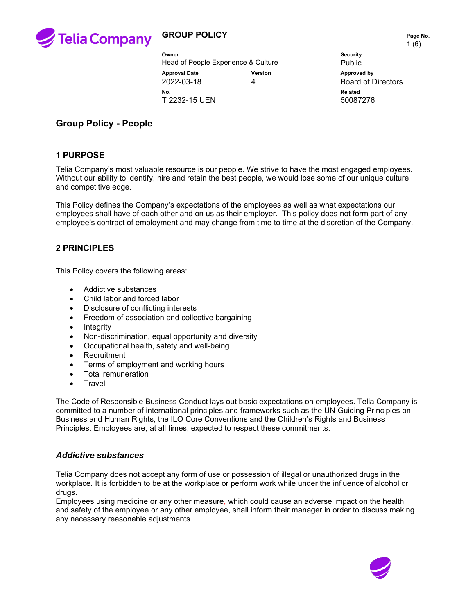

|  |                                     |                | <b>.</b>                  |  |
|--|-------------------------------------|----------------|---------------------------|--|
|  | Owner                               |                | <b>Security</b>           |  |
|  | Head of People Experience & Culture |                | <b>Public</b>             |  |
|  | <b>Approval Date</b>                | <b>Version</b> | Approved by               |  |
|  | 2022-03-18                          | 4              | <b>Board of Directors</b> |  |
|  | No.                                 |                | <b>Related</b>            |  |
|  | T 2232-15 UEN                       |                | 50087276                  |  |
|  |                                     |                |                           |  |

## **Group Policy - People**

### **1 PURPOSE**

Telia Company's most valuable resource is our people. We strive to have the most engaged employees. Without our ability to identify, hire and retain the best people, we would lose some of our unique culture and competitive edge.

This Policy defines the Company's expectations of the employees as well as what expectations our employees shall have of each other and on us as their employer. This policy does not form part of any employee's contract of employment and may change from time to time at the discretion of the Company.

#### **2 PRINCIPLES**

This Policy covers the following areas:

- Addictive substances
- Child labor and forced labor
- Disclosure of conflicting interests
- Freedom of association and collective bargaining
- Integrity
- Non-discrimination, equal opportunity and diversity
- Occupational health, safety and well-being
- Recruitment
- Terms of employment and working hours
- Total remuneration
- **Travel**

The Code of Responsible Business Conduct lays out basic expectations on employees. Telia Company is committed to a number of international principles and frameworks such as the UN Guiding Principles on Business and Human Rights, the ILO Core Conventions and the Children's Rights and Business Principles. Employees are, at all times, expected to respect these commitments.

#### *Addictive substances*

Telia Company does not accept any form of use or possession of illegal or unauthorized drugs in the workplace. It is forbidden to be at the workplace or perform work while under the influence of alcohol or drugs.

Employees using medicine or any other measure, which could cause an adverse impact on the health and safety of the employee or any other employee, shall inform their manager in order to discuss making any necessary reasonable adjustments.

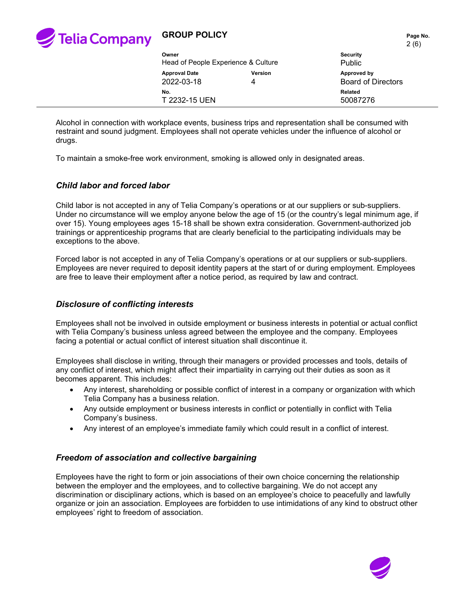

2 (6)

| Owner<br>Head of People Experience & Culture |                     | <b>Security</b><br><b>Public</b>         |
|----------------------------------------------|---------------------|------------------------------------------|
| <b>Approval Date</b><br>2022-03-18           | <b>Version</b><br>4 | Approved by<br><b>Board of Directors</b> |
| No.<br>T 2232-15 UEN                         |                     | Related<br>50087276                      |
|                                              |                     |                                          |

Alcohol in connection with workplace events, business trips and representation shall be consumed with restraint and sound judgment. Employees shall not operate vehicles under the influence of alcohol or drugs.

To maintain a smoke-free work environment, smoking is allowed only in designated areas.

#### *Child labor and forced labor*

Child labor is not accepted in any of Telia Company's operations or at our suppliers or sub-suppliers. Under no circumstance will we employ anyone below the age of 15 (or the country's legal minimum age, if over 15). Young employees ages 15-18 shall be shown extra consideration. Government-authorized job trainings or apprenticeship programs that are clearly beneficial to the participating individuals may be exceptions to the above.

Forced labor is not accepted in any of Telia Company's operations or at our suppliers or sub-suppliers. Employees are never required to deposit identity papers at the start of or during employment. Employees are free to leave their employment after a notice period, as required by law and contract.

#### *Disclosure of conflicting interests*

Employees shall not be involved in outside employment or business interests in potential or actual conflict with Telia Company's business unless agreed between the employee and the company. Employees facing a potential or actual conflict of interest situation shall discontinue it.

Employees shall disclose in writing, through their managers or provided processes and tools, details of any conflict of interest, which might affect their impartiality in carrying out their duties as soon as it becomes apparent. This includes:

- Any interest, shareholding or possible conflict of interest in a company or organization with which Telia Company has a business relation.
- Any outside employment or business interests in conflict or potentially in conflict with Telia Company's business.
- Any interest of an employee's immediate family which could result in a conflict of interest.

#### *Freedom of association and collective bargaining*

Employees have the right to form or join associations of their own choice concerning the relationship between the employer and the employees, and to collective bargaining. We do not accept any discrimination or disciplinary actions, which is based on an employee's choice to peacefully and lawfully organize or join an association. Employees are forbidden to use intimidations of any kind to obstruct other employees' right to freedom of association.

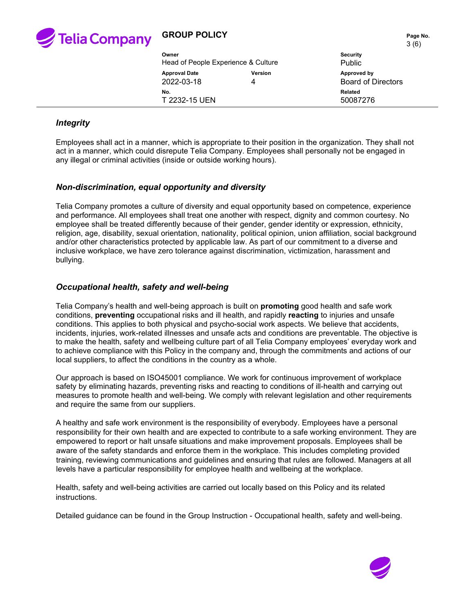

3 (6)

|                     | $\sim$ 197                                           |
|---------------------|------------------------------------------------------|
|                     | <b>Security</b>                                      |
|                     | Public                                               |
| <b>Version</b><br>4 | Approved by<br><b>Board of Directors</b>             |
|                     | Related<br>50087276                                  |
|                     | Head of People Experience & Culture<br>T 2232-15 UEN |

### *Integrity*

Employees shall act in a manner, which is appropriate to their position in the organization. They shall not act in a manner, which could disrepute Telia Company. Employees shall personally not be engaged in any illegal or criminal activities (inside or outside working hours).

#### *Non-discrimination, equal opportunity and diversity*

Telia Company promotes a culture of diversity and equal opportunity based on competence, experience and performance. All employees shall treat one another with respect, dignity and common courtesy. No employee shall be treated differently because of their gender, gender identity or expression, ethnicity, religion, age, disability, sexual orientation, nationality, political opinion, union affiliation, social background and/or other characteristics protected by applicable law. As part of our commitment to a diverse and inclusive workplace, we have zero tolerance against discrimination, victimization, harassment and bullying.

#### *Occupational health, safety and well-being*

Telia Company's health and well-being approach is built on **promoting** good health and safe work conditions, **preventing** occupational risks and ill health, and rapidly **reacting** to injuries and unsafe conditions. This applies to both physical and psycho-social work aspects. We believe that accidents, incidents, injuries, work-related illnesses and unsafe acts and conditions are preventable. The objective is to make the health, safety and wellbeing culture part of all Telia Company employees' everyday work and to achieve compliance with this Policy in the company and, through the commitments and actions of our local suppliers, to affect the conditions in the country as a whole.

Our approach is based on ISO45001 compliance. We work for continuous improvement of workplace safety by eliminating hazards, preventing risks and reacting to conditions of ill-health and carrying out measures to promote health and well-being. We comply with relevant legislation and other requirements and require the same from our suppliers.

A healthy and safe work environment is the responsibility of everybody. Employees have a personal responsibility for their own health and are expected to contribute to a safe working environment. They are empowered to report or halt unsafe situations and make improvement proposals. Employees shall be aware of the safety standards and enforce them in the workplace. This includes completing provided training, reviewing communications and guidelines and ensuring that rules are followed. Managers at all levels have a particular responsibility for employee health and wellbeing at the workplace.

Health, safety and well-being activities are carried out locally based on this Policy and its related instructions.

Detailed guidance can be found in the Group Instruction - Occupational health, safety and well-being.

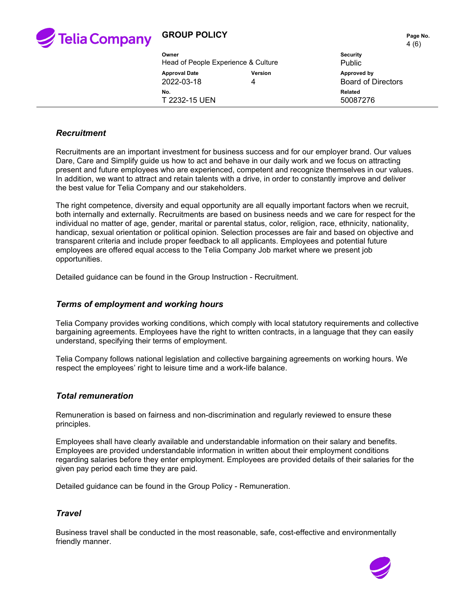

 $(6)$ 

|                                     |         | $\cdots$                  |  |
|-------------------------------------|---------|---------------------------|--|
| Owner                               |         | <b>Security</b>           |  |
| Head of People Experience & Culture |         | <b>Public</b>             |  |
| <b>Approval Date</b>                | Version | Approved by               |  |
| 2022-03-18                          | 4       | <b>Board of Directors</b> |  |
| No.                                 |         | Related                   |  |
| T 2232-15 UEN                       |         | 50087276                  |  |
|                                     |         |                           |  |

#### *Recruitment*

Recruitments are an important investment for business success and for our employer brand. Our values Dare, Care and Simplify guide us how to act and behave in our daily work and we focus on attracting present and future employees who are experienced, competent and recognize themselves in our values. In addition, we want to attract and retain talents with a drive, in order to constantly improve and deliver the best value for Telia Company and our stakeholders.

The right competence, diversity and equal opportunity are all equally important factors when we recruit, both internally and externally. Recruitments are based on business needs and we care for respect for the individual no matter of age, gender, marital or parental status, color, religion, race, ethnicity, nationality, handicap, sexual orientation or political opinion. Selection processes are fair and based on objective and transparent criteria and include proper feedback to all applicants. Employees and potential future employees are offered equal access to the Telia Company Job market where we present job opportunities.

Detailed guidance can be found in the Group Instruction - Recruitment.

#### *Terms of employment and working hours*

Telia Company provides working conditions, which comply with local statutory requirements and collective bargaining agreements. Employees have the right to written contracts, in a language that they can easily understand, specifying their terms of employment.

Telia Company follows national legislation and collective bargaining agreements on working hours. We respect the employees' right to leisure time and a work-life balance.

#### *Total remuneration*

Remuneration is based on fairness and non-discrimination and regularly reviewed to ensure these principles.

Employees shall have clearly available and understandable information on their salary and benefits. Employees are provided understandable information in written about their employment conditions regarding salaries before they enter employment. Employees are provided details of their salaries for the given pay period each time they are paid.

Detailed guidance can be found in the Group Policy - Remuneration.

#### *Travel*

Business travel shall be conducted in the most reasonable, safe, cost-effective and environmentally friendly manner.

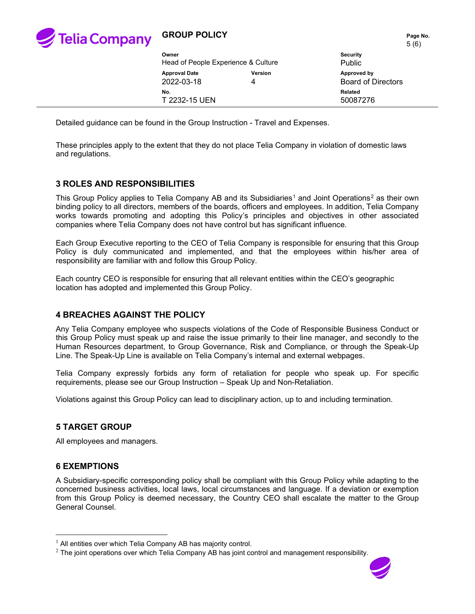

## **GROUP POLICY** Page No.

|                                     |                | 5(6)                      |
|-------------------------------------|----------------|---------------------------|
| Owner                               |                | <b>Security</b>           |
| Head of People Experience & Culture |                | <b>Public</b>             |
| <b>Approval Date</b>                | <b>Version</b> | Approved by               |
| 2022-03-18                          | 4              | <b>Board of Directors</b> |
| No.<br>T 2232-15 UEN                |                | Related<br>50087276       |

Detailed guidance can be found in the Group Instruction - Travel and Expenses.

These principles apply to the extent that they do not place Telia Company in violation of domestic laws and regulations.

### **3 ROLES AND RESPONSIBILITIES**

This Group Policy applies to Telia Company AB and its Subsidiaries<sup>[1](#page-4-0)</sup> and Joint Operations<sup>[2](#page-4-1)</sup> as their own binding policy to all directors, members of the boards, officers and employees. In addition, Telia Company works towards promoting and adopting this Policy's principles and objectives in other associated companies where Telia Company does not have control but has significant influence.

Each Group Executive reporting to the CEO of Telia Company is responsible for ensuring that this Group Policy is duly communicated and implemented, and that the employees within his/her area of responsibility are familiar with and follow this Group Policy.

Each country CEO is responsible for ensuring that all relevant entities within the CEO's geographic location has adopted and implemented this Group Policy.

### **4 BREACHES AGAINST THE POLICY**

Any Telia Company employee who suspects violations of the Code of Responsible Business Conduct or this Group Policy must speak up and raise the issue primarily to their line manager, and secondly to the Human Resources department, to Group Governance, Risk and Compliance, or through the Speak-Up Line. The Speak-Up Line is available on Telia Company's internal and external webpages.

Telia Company expressly forbids any form of retaliation for people who speak up. For specific requirements, please see our Group Instruction – Speak Up and Non-Retaliation.

Violations against this Group Policy can lead to disciplinary action, up to and including termination.

#### **5 TARGET GROUP**

All employees and managers.

### **6 EXEMPTIONS**

A Subsidiary-specific corresponding policy shall be compliant with this Group Policy while adapting to the concerned business activities, local laws, local circumstances and language. If a deviation or exemption from this Group Policy is deemed necessary, the Country CEO shall escalate the matter to the Group General Counsel.

<span id="page-4-1"></span> $2$  The joint operations over which Telia Company AB has joint control and management responsibility.



<span id="page-4-0"></span> $<sup>1</sup>$  All entities over which Telia Company AB has majority control.</sup>